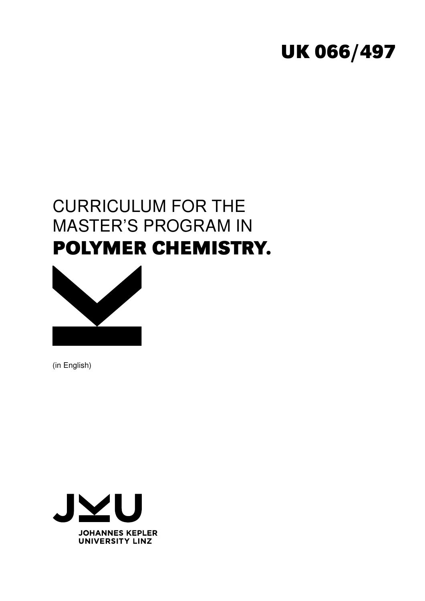# **UK 066/497**

# CURRICULUM FOR THE MASTER'S PROGRAM IN **POLYMER CHEMISTRY.**



(in English)

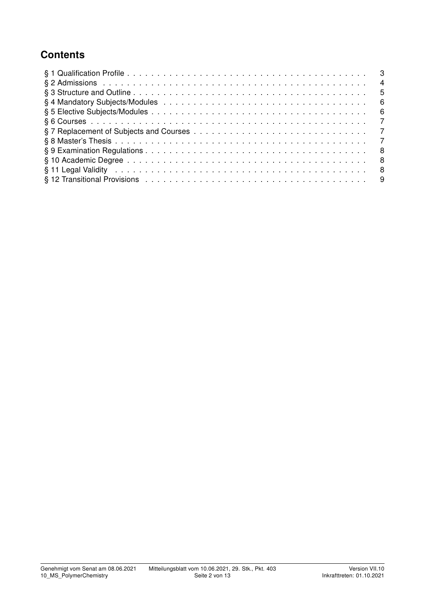# **Contents**

| - 3            |     |
|----------------|-----|
| $\overline{4}$ |     |
| - 5            |     |
|                | - 6 |
| - 6            |     |
| $\overline{7}$ |     |
|                |     |
| $\overline{7}$ |     |
| - 8            |     |
| - 8            |     |
| - 8            |     |
|                |     |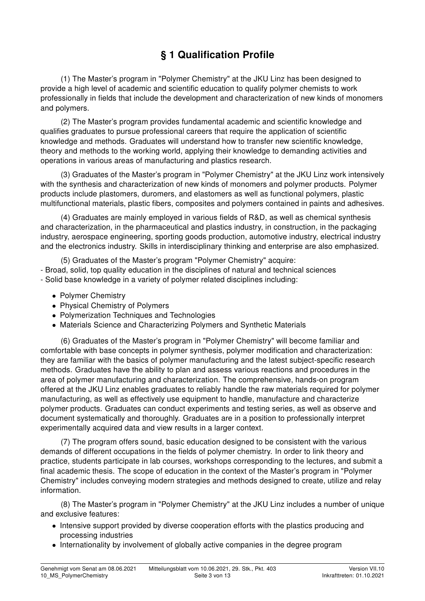# § 1 Qualification Profile

(1) The Master's program in "Polymer Chemistry" at the JKU Linz has been designed to provide a high level of academic and scientific education to qualify polymer chemists to work professionally in fields that include the development and characterization of new kinds of monomers and polymers.

(2) The Master's program provides fundamental academic and scientific knowledge and qualifies graduates to pursue professional careers that require the application of scientific knowledge and methods. Graduates will understand how to transfer new scientific knowledge, theory and methods to the working world, applying their knowledge to demanding activities and operations in various areas of manufacturing and plastics research.

(3) Graduates of the Master's program in "Polymer Chemistry" at the JKU Linz work intensively with the synthesis and characterization of new kinds of monomers and polymer products. Polymer products include plastomers, duromers, and elastomers as well as functional polymers, plastic multifunctional materials, plastic fibers, composites and polymers contained in paints and adhesives.

(4) Graduates are mainly employed in various fields of R&D, as well as chemical synthesis and characterization, in the pharmaceutical and plastics industry, in construction, in the packaging industry, aerospace engineering, sporting goods production, automotive industry, electrical industry and the electronics industry. Skills in interdisciplinary thinking and enterprise are also emphasized.

(5) Graduates of the Master's program "Polymer Chemistry" acquire: - Broad, solid, top quality education in the disciplines of natural and technical sciences - Solid base knowledge in a variety of polymer related disciplines including:

- Polymer Chemistry
- Physical Chemistry of Polymers
- Polymerization Techniques and Technologies
- Materials Science and Characterizing Polymers and Synthetic Materials

(6) Graduates of the Master's program in "Polymer Chemistry" will become familiar and comfortable with base concepts in polymer synthesis, polymer modification and characterization: they are familiar with the basics of polymer manufacturing and the latest subject-specific research methods. Graduates have the ability to plan and assess various reactions and procedures in the area of polymer manufacturing and characterization. The comprehensive, hands-on program offered at the JKU Linz enables graduates to reliably handle the raw materials required for polymer manufacturing, as well as effectively use equipment to handle, manufacture and characterize polymer products. Graduates can conduct experiments and testing series, as well as observe and document systematically and thoroughly. Graduates are in a position to professionally interpret experimentally acquired data and view results in a larger context.

(7) The program offers sound, basic education designed to be consistent with the various demands of different occupations in the fields of polymer chemistry. In order to link theory and practice, students participate in lab courses, workshops corresponding to the lectures, and submit a final academic thesis. The scope of education in the context of the Master's program in "Polymer Chemistry" includes conveying modern strategies and methods designed to create, utilize and relay information.

(8) The Master's program in "Polymer Chemistry" at the JKU Linz includes a number of unique and exclusive features:

- Intensive support provided by diverse cooperation efforts with the plastics producing and processing industries
- Internationality by involvement of globally active companies in the degree program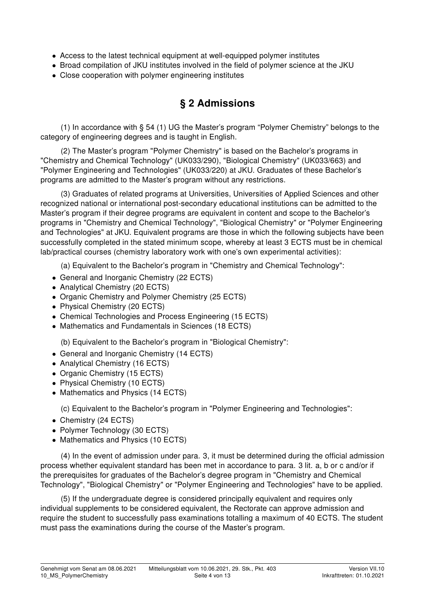- Access to the latest technical equipment at well-equipped polymer institutes
- Broad compilation of JKU institutes involved in the field of polymer science at the JKU
- Close cooperation with polymer engineering institutes

# § 2 Admissions

(1) In accordance with § 54 (1) UG the Master's program "Polymer Chemistry" belongs to the category of engineering degrees and is taught in English.

(2) The Master's program "Polymer Chemistry" is based on the Bachelor's programs in "Chemistry and Chemical Technology" (UK033/290), "Biological Chemistry" (UK033/663) and "Polymer Engineering and Technologies" (UK033/220) at JKU. Graduates of these Bachelor's programs are admitted to the Master's program without any restrictions.

(3) Graduates of related programs at Universities, Universities of Applied Sciences and other recognized national or international post-secondary educational institutions can be admitted to the Master's program if their degree programs are equivalent in content and scope to the Bachelor's programs in "Chemistry and Chemical Technology", "Biological Chemistry" or "Polymer Engineering and Technologies" at JKU. Equivalent programs are those in which the following subjects have been successfully completed in the stated minimum scope, whereby at least 3 ECTS must be in chemical lab/practical courses (chemistry laboratory work with one's own experimental activities):

(a) Equivalent to the Bachelor's program in "Chemistry and Chemical Technology":

- General and Inorganic Chemistry (22 ECTS)
- Analytical Chemistry (20 ECTS)
- Organic Chemistry and Polymer Chemistry (25 ECTS)
- Physical Chemistry (20 ECTS)
- Chemical Technologies and Process Engineering (15 ECTS)
- Mathematics and Fundamentals in Sciences (18 ECTS)

(b) Equivalent to the Bachelor's program in "Biological Chemistry":

- General and Inorganic Chemistry (14 ECTS)
- Analytical Chemistry (16 ECTS)
- Organic Chemistry (15 ECTS)
- Physical Chemistry (10 ECTS)
- Mathematics and Physics (14 ECTS)

(c) Equivalent to the Bachelor's program in "Polymer Engineering and Technologies":

- Chemistry (24 ECTS)
- Polymer Technology (30 ECTS)
- Mathematics and Physics (10 ECTS)

(4) In the event of admission under para. 3, it must be determined during the official admission process whether equivalent standard has been met in accordance to para. 3 lit. a, b or c and/or if the prerequisites for graduates of the Bachelor's degree program in "Chemistry and Chemical Technology", "Biological Chemistry" or "Polymer Engineering and Technologies" have to be applied.

(5) If the undergraduate degree is considered principally equivalent and requires only individual supplements to be considered equivalent, the Rectorate can approve admission and require the student to successfully pass examinations totalling a maximum of 40 ECTS. The student must pass the examinations during the course of the Master's program.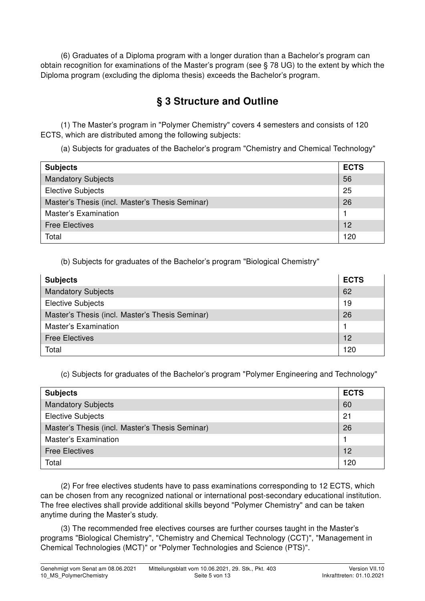(6) Graduates of a Diploma program with a longer duration than a Bachelor's program can obtain recognition for examinations of the Master's program (see § 78 UG) to the extent by which the Diploma program (excluding the diploma thesis) exceeds the Bachelor's program.

# § 3 Structure and Outline

(1) The Master's program in "Polymer Chemistry" covers 4 semesters and consists of 120 ECTS, which are distributed among the following subjects:

(a) Subjects for graduates of the Bachelor's program "Chemistry and Chemical Technology"

| <b>Subjects</b>                                 | <b>ECTS</b> |
|-------------------------------------------------|-------------|
| <b>Mandatory Subjects</b>                       | 56          |
| <b>Elective Subjects</b>                        | 25          |
| Master's Thesis (incl. Master's Thesis Seminar) | 26          |
| <b>Master's Examination</b>                     |             |
| <b>Free Electives</b>                           | 12          |
| Total                                           | 120         |

(b) Subjects for graduates of the Bachelor's program "Biological Chemistry"

| <b>Subjects</b>                                 | <b>ECTS</b> |
|-------------------------------------------------|-------------|
| <b>Mandatory Subjects</b>                       | 62          |
| <b>Elective Subjects</b>                        | 19          |
| Master's Thesis (incl. Master's Thesis Seminar) | 26          |
| <b>Master's Examination</b>                     |             |
| <b>Free Electives</b>                           | 12          |
| Total                                           | 120         |

(c) Subjects for graduates of the Bachelor's program "Polymer Engineering and Technology"

| <b>Subjects</b>                                 | <b>ECTS</b> |
|-------------------------------------------------|-------------|
| <b>Mandatory Subjects</b>                       | 60          |
| <b>Elective Subjects</b>                        | 21          |
| Master's Thesis (incl. Master's Thesis Seminar) | 26          |
| Master's Examination                            |             |
| <b>Free Electives</b>                           | 12          |
| Total                                           | 120         |

(2) For free electives students have to pass examinations corresponding to 12 ECTS, which can be chosen from any recognized national or international post-secondary educational institution. The free electives shall provide additional skills beyond "Polymer Chemistry" and can be taken anytime during the Master's study.

(3) The recommended free electives courses are further courses taught in the Master's programs "Biological Chemistry", "Chemistry and Chemical Technology (CCT)", "Management in Chemical Technologies (MCT)" or "Polymer Technologies and Science (PTS)".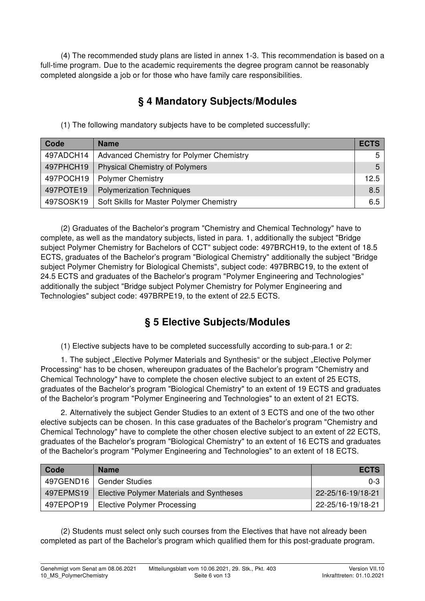(4) The recommended study plans are listed in annex 1-3. This recommendation is based on a full-time program. Due to the academic requirements the degree program cannot be reasonably completed alongside a job or for those who have family care responsibilities.

## § 4 Mandatory Subjects/Modules

(1) The following mandatory subjects have to be completed successfully:

| Code      | <b>Name</b>                                     | <b>ECTS</b>    |
|-----------|-------------------------------------------------|----------------|
| 497ADCH14 | <b>Advanced Chemistry for Polymer Chemistry</b> | 5              |
| 497PHCH19 | <b>Physical Chemistry of Polymers</b>           | 5 <sup>1</sup> |
| 497POCH19 | <b>Polymer Chemistry</b>                        | 12.5           |
| 497POTE19 | <b>Polymerization Techniques</b>                | 8.5            |
| 497SOSK19 | Soft Skills for Master Polymer Chemistry        | 6.5            |

(2) Graduates of the Bachelor's program "Chemistry and Chemical Technology" have to complete, as well as the mandatory subjects, listed in para. 1, additionally the subject "Bridge subject Polymer Chemistry for Bachelors of CCT" subject code: 497BRCH19, to the extent of 18.5 ECTS, graduates of the Bachelor's program "Biological Chemistry" additionally the subject "Bridge subject Polymer Chemistry for Biological Chemists", subject code: 497BRBC19, to the extent of 24.5 ECTS and graduates of the Bachelor's program "Polymer Engineering and Technologies" additionally the subject "Bridge subject Polymer Chemistry for Polymer Engineering and Technologies" subject code: 497BRPE19, to the extent of 22.5 ECTS.

# § 5 Elective Subjects/Modules

(1) Elective subjects have to be completed successfully according to sub-para.1 or 2:

1. The subject "Elective Polymer Materials and Synthesis" or the subject "Elective Polymer Processing" has to be chosen, whereupon graduates of the Bachelor's program "Chemistry and Chemical Technology" have to complete the chosen elective subject to an extent of 25 ECTS, graduates of the Bachelor's program "Biological Chemistry" to an extent of 19 ECTS and graduates of the Bachelor's program "Polymer Engineering and Technologies" to an extent of 21 ECTS.

2. Alternatively the subject Gender Studies to an extent of 3 ECTS and one of the two other elective subjects can be chosen. In this case graduates of the Bachelor's program "Chemistry and Chemical Technology" have to complete the other chosen elective subject to an extent of 22 ECTS, graduates of the Bachelor's program "Biological Chemistry" to an extent of 16 ECTS and graduates of the Bachelor's program "Polymer Engineering and Technologies" to an extent of 18 ECTS.

| Code      | <b>Name</b>                                     | <b>ECTS</b>       |
|-----------|-------------------------------------------------|-------------------|
|           | 497GEND16   Gender Studies                      | $0 - 3$           |
| 497EPMS19 | <b>Elective Polymer Materials and Syntheses</b> | 22-25/16-19/18-21 |
| 497EPOP19 | <b>Elective Polymer Processing</b>              | 22-25/16-19/18-21 |

(2) Students must select only such courses from the Electives that have not already been completed as part of the Bachelor's program which qualified them for this post-graduate program.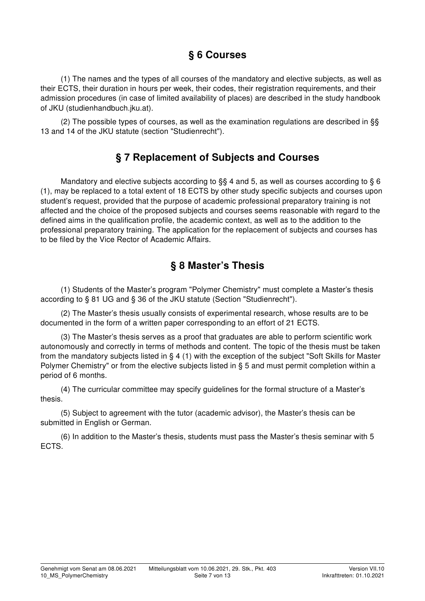## § 6 Courses

(1) The names and the types of all courses of the mandatory and elective subjects, as well as their ECTS, their duration in hours per week, their codes, their registration requirements, and their admission procedures (in case of limited availability of places) are described in the study handbook of JKU (studienhandbuch.jku.at).

(2) The possible types of courses, as well as the examination regulations are described in §§ 13 and 14 of the JKU statute (section "Studienrecht").

#### § 7 Replacement of Subjects and Courses

Mandatory and elective subjects according to §§ 4 and 5, as well as courses according to § 6 (1), may be replaced to a total extent of 18 ECTS by other study specific subjects and courses upon student's request, provided that the purpose of academic professional preparatory training is not affected and the choice of the proposed subjects and courses seems reasonable with regard to the defined aims in the qualification profile, the academic context, as well as to the addition to the professional preparatory training. The application for the replacement of subjects and courses has to be filed by the Vice Rector of Academic Affairs.

### § 8 Master's Thesis

(1) Students of the Master's program "Polymer Chemistry" must complete a Master's thesis according to § 81 UG and § 36 of the JKU statute (Section "Studienrecht").

(2) The Master's thesis usually consists of experimental research, whose results are to be documented in the form of a written paper corresponding to an effort of 21 ECTS.

(3) The Master's thesis serves as a proof that graduates are able to perform scientific work autonomously and correctly in terms of methods and content. The topic of the thesis must be taken from the mandatory subjects listed in § 4 (1) with the exception of the subject "Soft Skills for Master Polymer Chemistry" or from the elective subjects listed in § 5 and must permit completion within a period of 6 months.

(4) The curricular committee may specify guidelines for the formal structure of a Master's thesis.

(5) Subject to agreement with the tutor (academic advisor), the Master's thesis can be submitted in English or German.

(6) In addition to the Master's thesis, students must pass the Master's thesis seminar with 5 ECTS.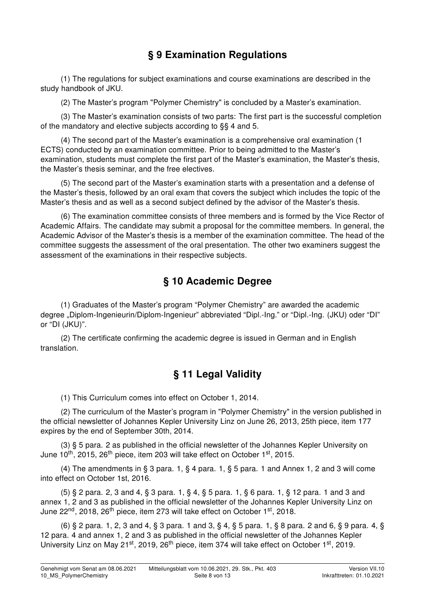# § 9 Examination Regulations

(1) The regulations for subject examinations and course examinations are described in the study handbook of JKU.

(2) The Master's program "Polymer Chemistry" is concluded by a Master's examination.

(3) The Master's examination consists of two parts: The first part is the successful completion of the mandatory and elective subjects according to §§ 4 and 5.

(4) The second part of the Master's examination is a comprehensive oral examination (1 ECTS) conducted by an examination committee. Prior to being admitted to the Master's examination, students must complete the first part of the Master's examination, the Master's thesis, the Master's thesis seminar, and the free electives.

(5) The second part of the Master's examination starts with a presentation and a defense of the Master's thesis, followed by an oral exam that covers the subject which includes the topic of the Master's thesis and as well as a second subject defined by the advisor of the Master's thesis.

(6) The examination committee consists of three members and is formed by the Vice Rector of Academic Affairs. The candidate may submit a proposal for the committee members. In general, the Academic Advisor of the Master's thesis is a member of the examination committee. The head of the committee suggests the assessment of the oral presentation. The other two examiners suggest the assessment of the examinations in their respective subjects.

### § 10 Academic Degree

(1) Graduates of the Master's program "Polymer Chemistry" are awarded the academic degree "Diplom-Ingenieurin/Diplom-Ingenieur" abbreviated "Dipl.-Ing." or "Dipl.-Ing. (JKU) oder "DI" or "DI (JKU)".

(2) The certificate confirming the academic degree is issued in German and in English translation.

#### § 11 Legal Validity

(1) This Curriculum comes into effect on October 1, 2014.

(2) The curriculum of the Master's program in "Polymer Chemistry" in the version published in the official newsletter of Johannes Kepler University Linz on June 26, 2013, 25th piece, item 177 expires by the end of September 30th, 2014.

(3) § 5 para. 2 as published in the official newsletter of the Johannes Kepler University on June  $10^{th}$ , 2015, 26<sup>th</sup> piece, item 203 will take effect on October  $1^{st}$ , 2015.

(4) The amendments in § 3 para. 1, § 4 para. 1, § 5 para. 1 and Annex 1, 2 and 3 will come into effect on October 1st, 2016.

(5) § 2 para. 2, 3 and 4, § 3 para. 1, § 4, § 5 para. 1, § 6 para. 1, § 12 para. 1 and 3 and annex 1, 2 and 3 as published in the official newsletter of the Johannes Kepler University Linz on June 22<sup>nd</sup>, 2018, 26<sup>th</sup> piece, item 273 will take effect on October 1<sup>st</sup>, 2018.

(6) § 2 para. 1, 2, 3 and 4, § 3 para. 1 and 3, § 4, § 5 para. 1, § 8 para. 2 and 6, § 9 para. 4, § 12 para. 4 and annex 1, 2 and 3 as published in the official newsletter of the Johannes Kepler University Linz on May 21<sup>st</sup>, 2019, 26<sup>th</sup> piece, item 374 will take effect on October 1<sup>st</sup>, 2019.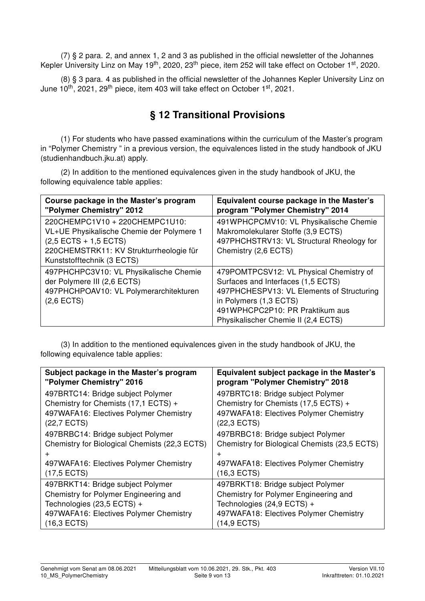(7) § 2 para. 2, and annex 1, 2 and 3 as published in the official newsletter of the Johannes Kepler University Linz on May 19<sup>th</sup>, 2020, 23<sup>th</sup> piece, item 252 will take effect on October 1<sup>st</sup>, 2020.

(8) § 3 para. 4 as published in the official newsletter of the Johannes Kepler University Linz on June  $10^{th}$ , 2021, 29<sup>th</sup> piece, item 403 will take effect on October  $1<sup>st</sup>$ , 2021.

### § 12 Transitional Provisions

(1) For students who have passed examinations within the curriculum of the Master's program in "Polymer Chemistry " in a previous version, the equivalences listed in the study handbook of JKU (studienhandbuch.jku.at) apply.

(2) In addition to the mentioned equivalences given in the study handbook of JKU, the following equivalence table applies:

| Course package in the Master's program<br>"Polymer Chemistry" 2012                                                                                                                              | Equivalent course package in the Master's<br>program "Polymer Chemistry" 2014                                                                                                                                                  |
|-------------------------------------------------------------------------------------------------------------------------------------------------------------------------------------------------|--------------------------------------------------------------------------------------------------------------------------------------------------------------------------------------------------------------------------------|
| 220CHEMPC1V10 + 220CHEMPC1U10:<br>VL+UE Physikalische Chemie der Polymere 1<br>$(2,5 \text{ ECTS} + 1,5 \text{ ECTS})$<br>220CHEMSTRK11: KV Strukturrheologie für<br>Kunststofftechnik (3 ECTS) | 491WPHCPCMV10: VL Physikalische Chemie<br>Makromolekularer Stoffe (3,9 ECTS)<br>497PHCHSTRV13: VL Structural Rheology for<br>Chemistry (2,6 ECTS)                                                                              |
| 497PHCHPC3V10: VL Physikalische Chemie<br>der Polymere III (2,6 ECTS)<br>497PHCHPOAV10: VL Polymerarchitekturen<br>$(2,6$ ECTS)                                                                 | 479POMTPCSV12: VL Physical Chemistry of<br>Surfaces and Interfaces (1,5 ECTS)<br>497PHCHESPV13: VL Elements of Structuring<br>in Polymers (1,3 ECTS)<br>491WPHCPC2P10: PR Praktikum aus<br>Physikalischer Chemie II (2,4 ECTS) |

(3) In addition to the mentioned equivalences given in the study handbook of JKU, the following equivalence table applies:

| Subject package in the Master's program       | Equivalent subject package in the Master's    |
|-----------------------------------------------|-----------------------------------------------|
| "Polymer Chemistry" 2016                      | program "Polymer Chemistry" 2018              |
| 497BRTC14: Bridge subject Polymer             | 497BRTC18: Bridge subject Polymer             |
| Chemistry for Chemists (17,1 ECTS) +          | Chemistry for Chemists (17,5 ECTS) +          |
| 497WAFA16: Electives Polymer Chemistry        | 497WAFA18: Electives Polymer Chemistry        |
| (22,7 ECTS)                                   | (22,3 ECTS)                                   |
| 497BRBC14: Bridge subject Polymer             | 497BRBC18: Bridge subject Polymer             |
| Chemistry for Biological Chemists (22,3 ECTS) | Chemistry for Biological Chemists (23,5 ECTS) |
| $\ddot{}$                                     | $\div$                                        |
| 497WAFA16: Electives Polymer Chemistry        | 497WAFA18: Electives Polymer Chemistry        |
| $(17.5$ ECTS)                                 | (16,3 ECTS)                                   |
| 497BRKT14: Bridge subject Polymer             | 497BRKT18: Bridge subject Polymer             |
| Chemistry for Polymer Engineering and         | Chemistry for Polymer Engineering and         |
| Technologies (23,5 ECTS) +                    | Technologies (24,9 ECTS) +                    |
| 497WAFA16: Electives Polymer Chemistry        | 497WAFA18: Electives Polymer Chemistry        |
| $(16,3$ ECTS)                                 | 14,9 ECTS)                                    |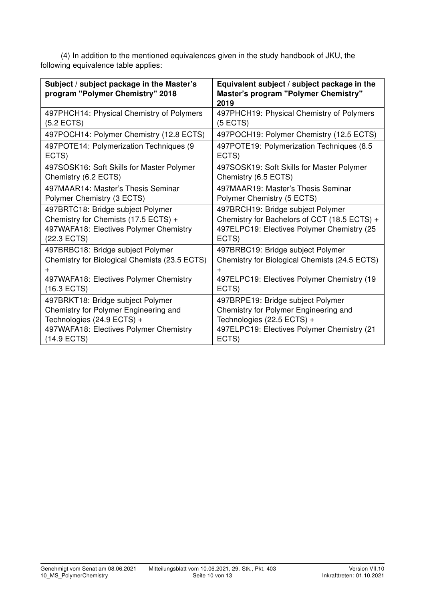(4) In addition to the mentioned equivalences given in the study handbook of JKU, the following equivalence table applies:

| Subject / subject package in the Master's<br>program "Polymer Chemistry" 2018 | Equivalent subject / subject package in the<br>Master's program "Polymer Chemistry"<br>2019 |
|-------------------------------------------------------------------------------|---------------------------------------------------------------------------------------------|
| 497PHCH14: Physical Chemistry of Polymers                                     | 497PHCH19: Physical Chemistry of Polymers                                                   |
| $(5.2$ ECTS)                                                                  | $(5$ ECTS)                                                                                  |
| 497POCH14: Polymer Chemistry (12.8 ECTS)                                      | 497POCH19: Polymer Chemistry (12.5 ECTS)                                                    |
| 497POTE14: Polymerization Techniques (9                                       | 497POTE19: Polymerization Techniques (8.5                                                   |
| ECTS)                                                                         | ECTS)                                                                                       |
| 497SOSK16: Soft Skills for Master Polymer                                     | 497SOSK19: Soft Skills for Master Polymer                                                   |
| Chemistry (6.2 ECTS)                                                          | Chemistry (6.5 ECTS)                                                                        |
| 497MAAR14: Master's Thesis Seminar                                            | 497MAAR19: Master's Thesis Seminar                                                          |
| Polymer Chemistry (3 ECTS)                                                    | Polymer Chemistry (5 ECTS)                                                                  |
| 497BRTC18: Bridge subject Polymer                                             | 497BRCH19: Bridge subject Polymer                                                           |
| Chemistry for Chemists (17.5 ECTS) +                                          | Chemistry for Bachelors of CCT (18.5 ECTS) +                                                |
| 497WAFA18: Electives Polymer Chemistry                                        | 497ELPC19: Electives Polymer Chemistry (25                                                  |
| (22.3 ECTS)                                                                   | ECTS)                                                                                       |
| 497BRBC18: Bridge subject Polymer                                             | 497BRBC19: Bridge subject Polymer                                                           |
| Chemistry for Biological Chemists (23.5 ECTS)                                 | Chemistry for Biological Chemists (24.5 ECTS)                                               |
| +                                                                             | $+$                                                                                         |
| 497WAFA18: Electives Polymer Chemistry                                        | 497ELPC19: Electives Polymer Chemistry (19)                                                 |
| $(16.3$ ECTS)                                                                 | ECTS)                                                                                       |
| 497BRKT18: Bridge subject Polymer                                             | 497BRPE19: Bridge subject Polymer                                                           |
| Chemistry for Polymer Engineering and                                         | Chemistry for Polymer Engineering and                                                       |
| Technologies (24.9 ECTS) +                                                    | Technologies (22.5 ECTS) +                                                                  |
| 497WAFA18: Electives Polymer Chemistry                                        | 497ELPC19: Electives Polymer Chemistry (21                                                  |
| $(14.9$ ECTS)                                                                 | ECTS)                                                                                       |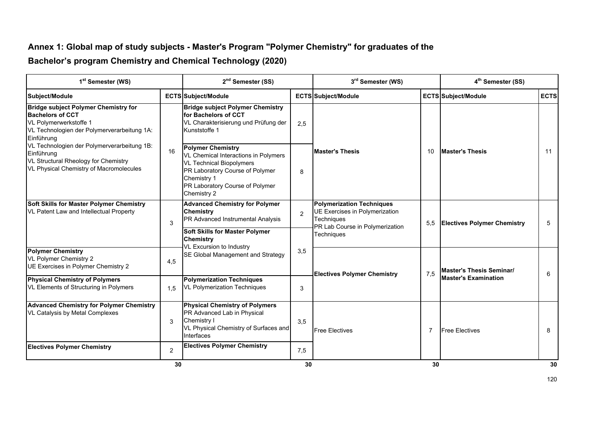#### **Annex 1: Global map of study subjects - Master's Program "Polymer Chemistry" for graduates of the**

**Bachelor's program Chemistry and Chemical Technology (2020)**

| 1 <sup>st</sup> Semester (WS)                                                                                                                                                                                                                                                                                       |                                                                                                                                                                                                         | 2 <sup>nd</sup> Semester (SS)                                                                                                              |                        | 3rd Semester (WS)                                                                                                                 |                        | 4 <sup>th</sup> Semester (SS)      |             |
|---------------------------------------------------------------------------------------------------------------------------------------------------------------------------------------------------------------------------------------------------------------------------------------------------------------------|---------------------------------------------------------------------------------------------------------------------------------------------------------------------------------------------------------|--------------------------------------------------------------------------------------------------------------------------------------------|------------------------|-----------------------------------------------------------------------------------------------------------------------------------|------------------------|------------------------------------|-------------|
| Subject/Module                                                                                                                                                                                                                                                                                                      |                                                                                                                                                                                                         | <b>ECTS Subject/Module</b>                                                                                                                 |                        | <b>ECTS Subject/Module</b>                                                                                                        |                        | <b>ECTS Subject/Module</b>         | <b>ECTS</b> |
| <b>Bridge subject Polymer Chemistry for</b><br><b>Bachelors of CCT</b><br>VL Polymerwerkstoffe 1<br>VL Technologien der Polymerverarbeitung 1A:<br>Einführung<br>VL Technologien der Polymerverarbeitung 1B:<br>16<br>Einführung<br>VL Structural Rheology for Chemistry<br>VL Physical Chemistry of Macromolecules |                                                                                                                                                                                                         | <b>Bridge subject Polymer Chemistry</b><br>for Bachelors of CCT<br>VL Charakterisierung und Prüfung der<br>Kunststoffe 1                   | 2,5                    |                                                                                                                                   |                        |                                    |             |
|                                                                                                                                                                                                                                                                                                                     | <b>Polymer Chemistry</b><br>VL Chemical Interactions in Polymers<br><b>VL Technical Biopolymers</b><br>PR Laboratory Course of Polymer<br>Chemistry 1<br>PR Laboratory Course of Polymer<br>Chemistry 2 | 8                                                                                                                                          | <b>Master's Thesis</b> | 10                                                                                                                                | <b>Master's Thesis</b> | 11                                 |             |
| <b>Soft Skills for Master Polymer Chemistry</b><br>VL Patent Law and Intellectual Property                                                                                                                                                                                                                          | 3                                                                                                                                                                                                       | <b>Advanced Chemistry for Polymer</b><br><b>Chemistry</b><br>PR Advanced Instrumental Analysis                                             | $\overline{2}$         | <b>Polymerization Techniques</b><br><b>UE Exercises in Polymerization</b><br><b>Techniques</b><br>PR Lab Course in Polymerization | 5,5                    | <b>Electives Polymer Chemistry</b> | 5           |
|                                                                                                                                                                                                                                                                                                                     |                                                                                                                                                                                                         | <b>Soft Skills for Master Polymer</b><br><b>Chemistry</b><br><b>VL Excursion to Industry</b>                                               |                        | <b>Techniques</b>                                                                                                                 |                        |                                    |             |
| <b>Polymer Chemistry</b><br>VL Polymer Chemistry 2<br>UE Exercises in Polymer Chemistry 2                                                                                                                                                                                                                           | 4,5                                                                                                                                                                                                     | SE Global Management and Strategy                                                                                                          | 3,5                    | <b>Electives Polymer Chemistry</b>                                                                                                | 7,5                    | <b>Master's Thesis Seminar/</b>    | 6           |
| <b>Physical Chemistry of Polymers</b><br>VL Elements of Structuring in Polymers                                                                                                                                                                                                                                     | 1,5                                                                                                                                                                                                     | <b>Polymerization Techniques</b><br><b>VL Polymerization Techniques</b>                                                                    | 3                      |                                                                                                                                   |                        | <b>Master's Examination</b>        |             |
| <b>Advanced Chemistry for Polymer Chemistry</b><br>VL Catalysis by Metal Complexes                                                                                                                                                                                                                                  | 3                                                                                                                                                                                                       | <b>Physical Chemistry of Polymers</b><br>PR Advanced Lab in Physical<br>Chemistry I<br>VL Physical Chemistry of Surfaces and<br>Interfaces | 3,5                    | <b>Free Electives</b>                                                                                                             | 7                      | <b>Free Electives</b>              | 8           |
| <b>Electives Polymer Chemistry</b>                                                                                                                                                                                                                                                                                  | $\overline{2}$                                                                                                                                                                                          | <b>Electives Polymer Chemistry</b>                                                                                                         | 7,5                    |                                                                                                                                   |                        |                                    |             |
|                                                                                                                                                                                                                                                                                                                     | 30                                                                                                                                                                                                      |                                                                                                                                            | 30                     |                                                                                                                                   | 30                     |                                    | 30          |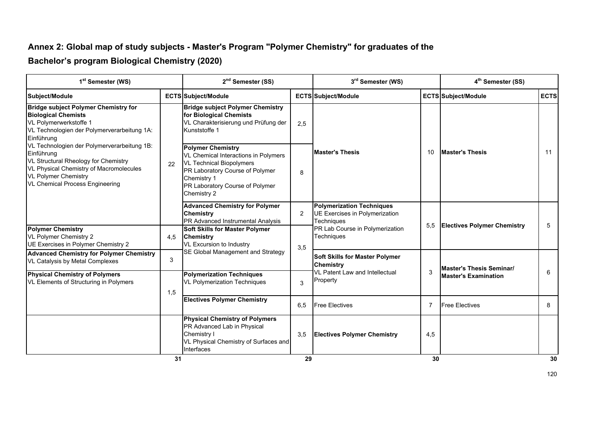#### **Annex 2: Global map of study subjects - Master's Program "Polymer Chemistry" for graduates of the**

#### **Bachelor's program Biological Chemistry (2020)**

| 1 <sup>st</sup> Semester (WS)                                                                                                                                                                                                                                                                                                                                                             |     | 2 <sup>nd</sup> Semester (SS)                                                                                                                                                                           |                | 3rd Semester (WS)                                                                |     | 4 <sup>th</sup> Semester (SS)      |             |
|-------------------------------------------------------------------------------------------------------------------------------------------------------------------------------------------------------------------------------------------------------------------------------------------------------------------------------------------------------------------------------------------|-----|---------------------------------------------------------------------------------------------------------------------------------------------------------------------------------------------------------|----------------|----------------------------------------------------------------------------------|-----|------------------------------------|-------------|
| Subject/Module                                                                                                                                                                                                                                                                                                                                                                            |     | <b>ECTS Subject/Module</b>                                                                                                                                                                              |                | <b>ECTS Subject/Module</b>                                                       |     | <b>ECTS Subject/Module</b>         | <b>ECTS</b> |
| <b>Bridge subject Polymer Chemistry for</b><br><b>Biological Chemists</b><br>VL Polymerwerkstoffe 1<br>VL Technologien der Polymerverarbeitung 1A:<br>Einführung<br>VL Technologien der Polymerverarbeitung 1B:<br>Einführung<br>VL Structural Rheology for Chemistry<br>VL Physical Chemistry of Macromolecules<br><b>VL Polymer Chemistry</b><br><b>VL Chemical Process Engineering</b> |     | <b>Bridge subject Polymer Chemistry</b><br>for Biological Chemists<br>VL Charakterisierung und Prüfung der<br>Kunststoffe 1                                                                             | 2,5            | <b>Master's Thesis</b>                                                           |     | <b>Master's Thesis</b>             | 11          |
|                                                                                                                                                                                                                                                                                                                                                                                           | 22  | <b>Polymer Chemistry</b><br>VL Chemical Interactions in Polymers<br><b>VL Technical Biopolymers</b><br>PR Laboratory Course of Polymer<br>Chemistry 1<br>PR Laboratory Course of Polymer<br>Chemistry 2 | 8              |                                                                                  | 10  |                                    |             |
|                                                                                                                                                                                                                                                                                                                                                                                           |     | <b>Advanced Chemistry for Polymer</b><br><b>Chemistry</b><br>PR Advanced Instrumental Analysis                                                                                                          | $\overline{2}$ | <b>Polymerization Techniques</b><br>UE Exercises in Polymerization<br>Techniques | 5,5 | <b>Electives Polymer Chemistry</b> | 5           |
| <b>Polymer Chemistry</b><br>VL Polymer Chemistry 2<br>UE Exercises in Polymer Chemistry 2                                                                                                                                                                                                                                                                                                 | 4.5 | <b>Soft Skills for Master Polymer</b><br><b>Chemistry</b><br>VL Excursion to Industry                                                                                                                   | 3,5            | PR Lab Course in Polymerization<br>Techniques                                    |     |                                    |             |
| <b>Advanced Chemistry for Polymer Chemistry</b><br>VL Catalysis by Metal Complexes                                                                                                                                                                                                                                                                                                        | 3   | SE Global Management and Strategy                                                                                                                                                                       |                | <b>Soft Skills for Master Polymer</b><br><b>Chemistry</b>                        |     | <b>Master's Thesis Seminar/</b>    |             |
| <b>Physical Chemistry of Polymers</b><br>VL Elements of Structuring in Polymers                                                                                                                                                                                                                                                                                                           | 1,5 | <b>Polymerization Techniques</b><br><b>VL Polymerization Techniques</b>                                                                                                                                 | 3              | <b>VL Patent Law and Intellectual</b><br>Property                                | 3   | <b>Master's Examination</b>        | 6           |
|                                                                                                                                                                                                                                                                                                                                                                                           |     | <b>Electives Polymer Chemistry</b>                                                                                                                                                                      | 6.5            | <b>Free Electives</b>                                                            | 7   | <b>Free Electives</b>              | 8           |
|                                                                                                                                                                                                                                                                                                                                                                                           |     | <b>Physical Chemistry of Polymers</b><br>PR Advanced Lab in Physical<br>Chemistry I<br>VL Physical Chemistry of Surfaces and<br>Interfaces                                                              | 3,5            | <b>Electives Polymer Chemistry</b>                                               | 4,5 |                                    |             |
|                                                                                                                                                                                                                                                                                                                                                                                           | 31  |                                                                                                                                                                                                         | 29             |                                                                                  | 30  |                                    | 30          |